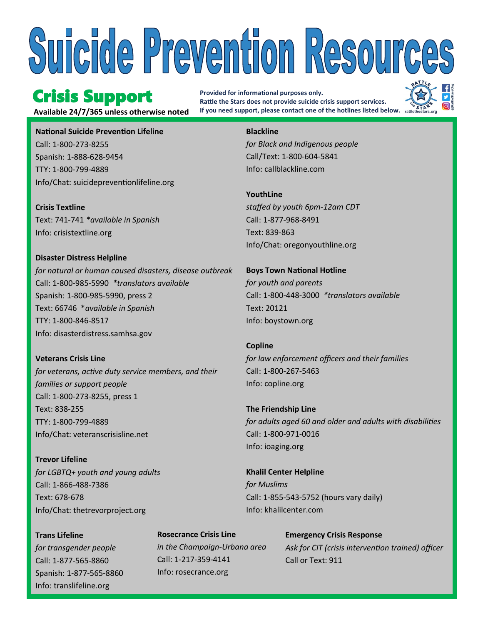# Suicide Prevention Resources

### Crisis Support

**Provided for informational purposes only. Rattle the Stars does not provide suicide crisis support services. Available 24/7/365 unless otherwise noted If you need support, please contact one of the hotlines listed below.**



**National Suicide Prevention Lifeline** Call: 1-800-273-8255 Spanish: 1-888-628-9454 TTY: 1-800-799-4889 Info/Chat: suicidepreventionlifeline.org

**Crisis Textline** Text: 741-741 *\*available in Spanish* Info: crisistextline.org

**Disaster Distress Helpline** *for natural or human caused disasters, disease outbreak* Call: 1-800-985-5990 *\*translators available* Spanish: 1-800-985-5990, press 2 Text: 66746 \**available in Spanish* TTY: 1-800-846-8517 Info: disasterdistress.samhsa.gov

**Veterans Crisis Line** *for veterans, active duty service members, and their families or support people* Call: 1-800-273-8255, press 1 Text: 838-255 TTY: 1-800-799-4889 Info/Chat: veteranscrisisline.net

**Trevor Lifeline** *for LGBTQ+ youth and young adults* Call: 1-866-488-7386 Text: 678-678 Info/Chat: thetrevorproject.org

**Trans Lifeline** *for transgender people* Call: 1-877-565-8860 Spanish: 1-877-565-8860 Info: translifeline.org

**Rosecrance Crisis Line** *in the Champaign-Urbana area* Call: 1-217-359-4141 Info: rosecrance.org

#### **Blackline**

*for Black and Indigenous people* Call/Text: 1-800-604-5841 Info: callblackline.com

**YouthLine**  *staffed by youth 6pm-12am CDT* Call: 1-877-968-8491 Text: 839-863 Info/Chat: oregonyouthline.org

**Boys Town National Hotline** *for youth and parents* Call: 1-800-448-3000 *\*translators available* Text: 20121 Info: boystown.org

**Copline** *for law enforcement officers and their families* Call: 1-800-267-5463 Info: copline.org

**The Friendship Line** *for adults aged 60 and older and adults with disabilities* Call: 1-800-971-0016 Info: ioaging.org

**Khalil Center Helpline** *for Muslims* Call: 1-855-543-5752 (hours vary daily) Info: khalilcenter.com

> **Emergency Crisis Response**  *Ask for CIT (crisis intervention trained) officer* Call or Text: 911